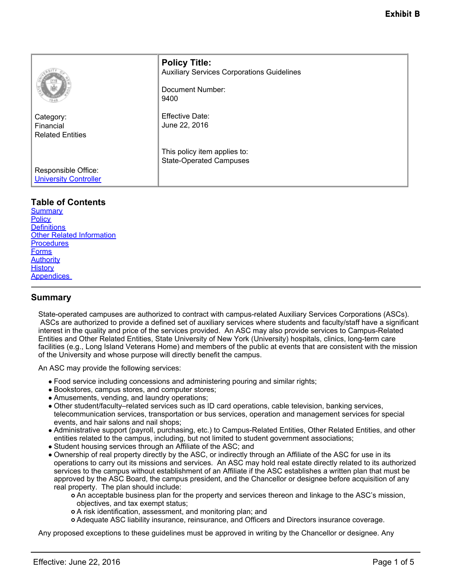|                                                     | <b>Policy Title:</b><br><b>Auxiliary Services Corporations Guidelines</b><br>Document Number:<br>9400 |
|-----------------------------------------------------|-------------------------------------------------------------------------------------------------------|
| Category:<br>Financial<br><b>Related Entities</b>   | <b>Effective Date:</b><br>June 22, 2016                                                               |
| Responsible Office:<br><b>University Controller</b> | This policy item applies to:<br><b>State-Operated Campuses</b>                                        |

# **Table of Contents**

**[Summary](#page-0-0) [Policy](#page-1-0) Definitions** [Other Related Information](#page-3-0) **[Procedures](#page-3-1) [Forms](#page-3-2) [Authority](#page-3-3) [History](#page-3-4)** [Appendices](#page-4-0) 

# <span id="page-0-0"></span>**Summary**

State-operated campuses are authorized to contract with campus-related Auxiliary Services Corporations (ASCs). ASCs are authorized to provide a defined set of auxiliary services where students and faculty/staff have a significant interest in the quality and price of the services provided. An ASC may also provide services to Campus-Related Entities and Other Related Entities, State University of New York (University) hospitals, clinics, long-term care facilities (e.g., Long Island Veterans Home) and members of the public at events that are consistent with the mission of the University and whose purpose will directly benefit the campus.

An ASC may provide the following services:

- Food service including concessions and administering pouring and similar rights;
- Bookstores, campus stores, and computer stores;
- Amusements, vending, and laundry operations;
- Other student/faculty–related services such as ID card operations, cable television, banking services, telecommunication services, transportation or bus services, operation and management services for special events, and hair salons and nail shops;
- Administrative support (payroll, purchasing, etc.) to Campus-Related Entities, Other Related Entities, and other entities related to the campus, including, but not limited to student government associations;
- Student housing services through an Affiliate of the ASC; and
- Ownership of real property directly by the ASC, or indirectly through an Affiliate of the ASC for use in its operations to carry out its missions and services. An ASC may hold real estate directly related to its authorized services to the campus without establishment of an Affiliate if the ASC establishes a written plan that must be approved by the ASC Board, the campus president, and the Chancellor or designee before acquisition of any real property. The plan should include:

An acceptable business plan for the property and services thereon and linkage to the ASC's mission, objectives, and tax exempt status;

- A risk identification, assessment, and monitoring plan; and
- Adequate ASC liability insurance, reinsurance, and Officers and Directors insurance coverage.

Any proposed exceptions to these guidelines must be approved in writing by the Chancellor or designee. Any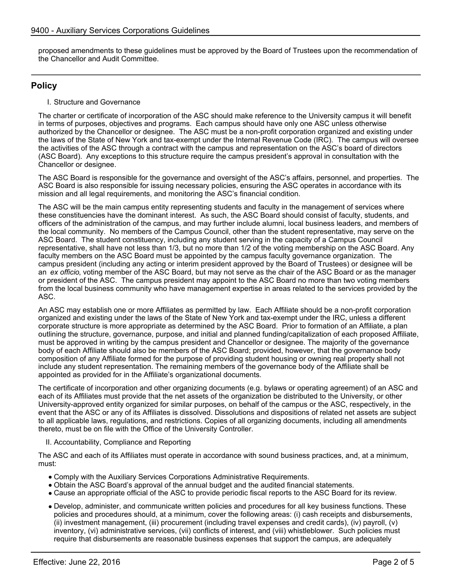proposed amendments to these guidelines must be approved by the Board of Trustees upon the recommendation of the Chancellor and Audit Committee.

# <span id="page-1-0"></span>**Policy**

I. Structure and Governance

The charter or certificate of incorporation of the ASC should make reference to the University campus it will benefit in terms of purposes, objectives and programs. Each campus should have only one ASC unless otherwise authorized by the Chancellor or designee. The ASC must be a non-profit corporation organized and existing under the laws of the State of New York and tax-exempt under the Internal Revenue Code (IRC). The campus will oversee the activities of the ASC through a contract with the campus and representation on the ASC's board of directors (ASC Board). Any exceptions to this structure require the campus president's approval in consultation with the Chancellor or designee.

The ASC Board is responsible for the governance and oversight of the ASC's affairs, personnel, and properties. The ASC Board is also responsible for issuing necessary policies, ensuring the ASC operates in accordance with its mission and all legal requirements, and monitoring the ASC's financial condition.

The ASC will be the main campus entity representing students and faculty in the management of services where these constituencies have the dominant interest. As such, the ASC Board should consist of faculty, students, and officers of the administration of the campus, and may further include alumni, local business leaders, and members of the local community. No members of the Campus Council, other than the student representative, may serve on the ASC Board. The student constituency, including any student serving in the capacity of a Campus Council representative, shall have not less than 1/3, but no more than 1/2 of the voting membership on the ASC Board. Any faculty members on the ASC Board must be appointed by the campus faculty governance organization. The campus president (including any acting or interim president approved by the Board of Trustees) or designee will be an *ex officio*, voting member of the ASC Board, but may not serve as the chair of the ASC Board or as the manager or president of the ASC. The campus president may appoint to the ASC Board no more than two voting members from the local business community who have management expertise in areas related to the services provided by the ASC.

An ASC may establish one or more Affiliates as permitted by law. Each Affiliate should be a non-profit corporation organized and existing under the laws of the State of New York and tax-exempt under the IRC, unless a different corporate structure is more appropriate as determined by the ASC Board. Prior to formation of an Affiliate, a plan outlining the structure, governance, purpose, and initial and planned funding/capitalization of each proposed Affiliate, must be approved in writing by the campus president and Chancellor or designee. The majority of the governance body of each Affiliate should also be members of the ASC Board; provided, however, that the governance body composition of any Affiliate formed for the purpose of providing student housing or owning real property shall not include any student representation. The remaining members of the governance body of the Affiliate shall be appointed as provided for in the Affiliate's organizational documents.

The certificate of incorporation and other organizing documents (e.g. bylaws or operating agreement) of an ASC and each of its Affiliates must provide that the net assets of the organization be distributed to the University, or other University-approved entity organized for similar purposes, on behalf of the campus or the ASC, respectively, in the event that the ASC or any of its Affiliates is dissolved. Dissolutions and dispositions of related net assets are subject to all applicable laws, regulations, and restrictions. Copies of all organizing documents, including all amendments thereto, must be on file with the Office of the University Controller.

II. Accountability, Compliance and Reporting

The ASC and each of its Affiliates must operate in accordance with sound business practices, and, at a minimum, must:

- Comply with the Auxiliary Services Corporations Administrative Requirements.
- Obtain the ASC Board's approval of the annual budget and the audited financial statements.
- Cause an appropriate official of the ASC to provide periodic fiscal reports to the ASC Board for its review.
- Develop, administer, and communicate written policies and procedures for all key business functions. These policies and procedures should, at a minimum, cover the following areas: (i) cash receipts and disbursements, (ii) investment management, (iii) procurement (including travel expenses and credit cards), (iv) payroll, (v) inventory, (vi) administrative services, (vii) conflicts of interest, and (viii) whistleblower. Such policies must require that disbursements are reasonable business expenses that support the campus, are adequately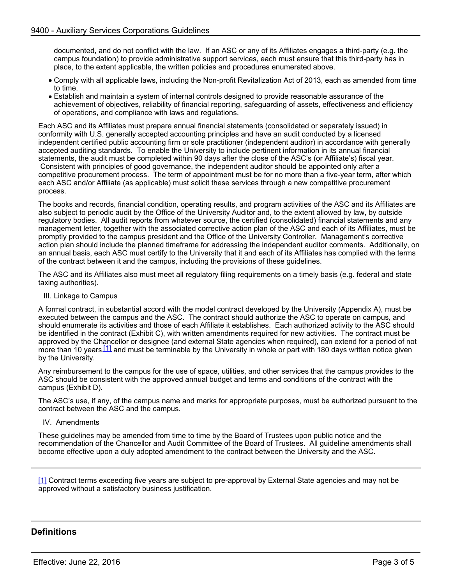documented, and do not conflict with the law. If an ASC or any of its Affiliates engages a third-party (e.g. the campus foundation) to provide administrative support services, each must ensure that this third-party has in place, to the extent applicable, the written policies and procedures enumerated above.

- Comply with all applicable laws, including the Non-profit Revitalization Act of 2013, each as amended from time to time.
- Establish and maintain a system of internal controls designed to provide reasonable assurance of the achievement of objectives, reliability of financial reporting, safeguarding of assets, effectiveness and efficiency of operations, and compliance with laws and regulations.

Each ASC and its Affiliates must prepare annual financial statements (consolidated or separately issued) in conformity with U.S. generally accepted accounting principles and have an audit conducted by a licensed independent certified public accounting firm or sole practitioner (independent auditor) in accordance with generally accepted auditing standards. To enable the University to include pertinent information in its annual financial statements, the audit must be completed within 90 days after the close of the ASC's (or Affiliate's) fiscal year. Consistent with principles of good governance, the independent auditor should be appointed only after a competitive procurement process. The term of appointment must be for no more than a five-year term, after which each ASC and/or Affiliate (as applicable) must solicit these services through a new competitive procurement process.

The books and records, financial condition, operating results, and program activities of the ASC and its Affiliates are also subject to periodic audit by the Office of the University Auditor and, to the extent allowed by law, by outside regulatory bodies. All audit reports from whatever source, the certified (consolidated) financial statements and any management letter, together with the associated corrective action plan of the ASC and each of its Affiliates, must be promptly provided to the campus president and the Office of the University Controller. Management's corrective action plan should include the planned timeframe for addressing the independent auditor comments. Additionally, on an annual basis, each ASC must certify to the University that it and each of its Affiliates has complied with the terms of the contract between it and the campus, including the provisions of these guidelines.

The ASC and its Affiliates also must meet all regulatory filing requirements on a timely basis (e.g. federal and state taxing authorities).

III. Linkage to Campus

A formal contract, in substantial accord with the model contract developed by the University (Appendix A), must be executed between the campus and the ASC. The contract should authorize the ASC to operate on campus, and should enumerate its activities and those of each Affiliate it establishes. Each authorized activity to the ASC should be identified in the contract (Exhibit C), with written amendments required for new activities. The contract must be approved by the Chancellor or designee (and external State agencies when required), can extend for a period of not more than 10 years,<sup>[1]</sup> and must be terminable by the University in whole or part with 180 days written notice given by the University.

Any reimbursement to the campus for the use of space, utilities, and other services that the campus provides to the ASC should be consistent with the approved annual budget and terms and conditions of the contract with the campus (Exhibit D).

The ASC's use, if any, of the campus name and marks for appropriate purposes, must be authorized pursuant to the contract between the ASC and the campus.

IV. Amendments

These guidelines may be amended from time to time by the Board of Trustees upon public notice and the recommendation of the Chancellor and Audit Committee of the Board of Trustees. All guideline amendments shall become effective upon a duly adopted amendment to the contract between the University and the ASC.

[1] Contract terms exceeding five years are subject to pre-approval by External State agencies and may not be approved without a satisfactory business justification.

## **Definitions**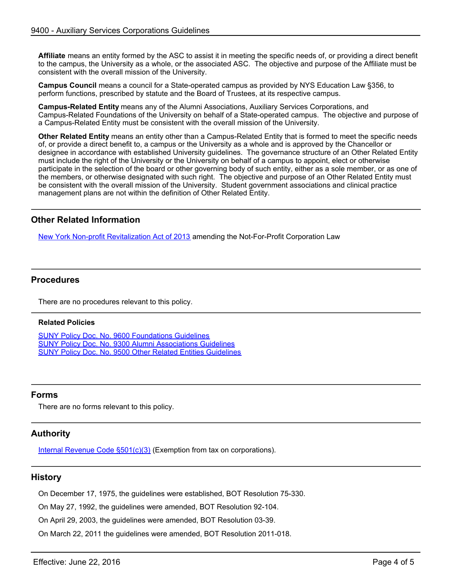**Affiliate** means an entity formed by the ASC to assist it in meeting the specific needs of, or providing a direct benefit to the campus, the University as a whole, or the associated ASC. The objective and purpose of the Affiliate must be consistent with the overall mission of the University.

**Campus Council** means a council for a State-operated campus as provided by NYS Education Law §356, to perform functions, prescribed by statute and the Board of Trustees, at its respective campus.

**Campus-Related Entity** means any of the Alumni Associations, Auxiliary Services Corporations, and Campus-Related Foundations of the University on behalf of a State-operated campus. The objective and purpose of a Campus-Related Entity must be consistent with the overall mission of the University.

**Other Related Entity** means an entity other than a Campus-Related Entity that is formed to meet the specific needs of, or provide a direct benefit to, a campus or the University as a whole and is approved by the Chancellor or designee in accordance with established University guidelines. The governance structure of an Other Related Entity must include the right of the University or the University on behalf of a campus to appoint, elect or otherwise participate in the selection of the board or other governing body of such entity, either as a sole member, or as one of the members, or otherwise designated with such right. The objective and purpose of an Other Related Entity must be consistent with the overall mission of the University. Student government associations and clinical practice management plans are not within the definition of Other Related Entity.

## <span id="page-3-0"></span>**Other Related Information**

[New York Non-profit Revitalization Act of 2013](http://open.nysenate.gov/legislation/bill/A8072-2013) amending the Not-For-Profit Corporation Law

## <span id="page-3-1"></span>**Procedures**

There are no procedures relevant to this policy.

#### **Related Policies**

[SUNY Policy Doc. No. 9600 Foundations Guidelines](http://www.suny.edu/sunypp/documents.cfm?doc_id=140) [SUNY Policy Doc. No. 9300 Alumni Associations Guidelines](http://www.suny.edu/sunypp/documents.cfm?doc_id=127) [SUNY Policy Doc. No. 9500 Other Related Entities Guidelines](http://www.suny.edu/sunypp/documents.cfm?doc_id=842)

### <span id="page-3-2"></span>**Forms**

There are no forms relevant to this policy.

## <span id="page-3-3"></span>**Authority**

[Internal Revenue Code §501\(c\)\(3\)](http://www.irs.gov/Charities-&-Non-Profits/Charitable-Organizations/Exemption-Requirements-Section-501(c)(3)-Organizations) (Exemption from tax on corporations).

## <span id="page-3-4"></span>**History**

On December 17, 1975, the guidelines were established, BOT Resolution 75-330.

On May 27, 1992, the guidelines were amended, BOT Resolution 92-104.

On April 29, 2003, the guidelines were amended, BOT Resolution 03-39.

On March 22, 2011 the guidelines were amended, BOT Resolution 2011-018.